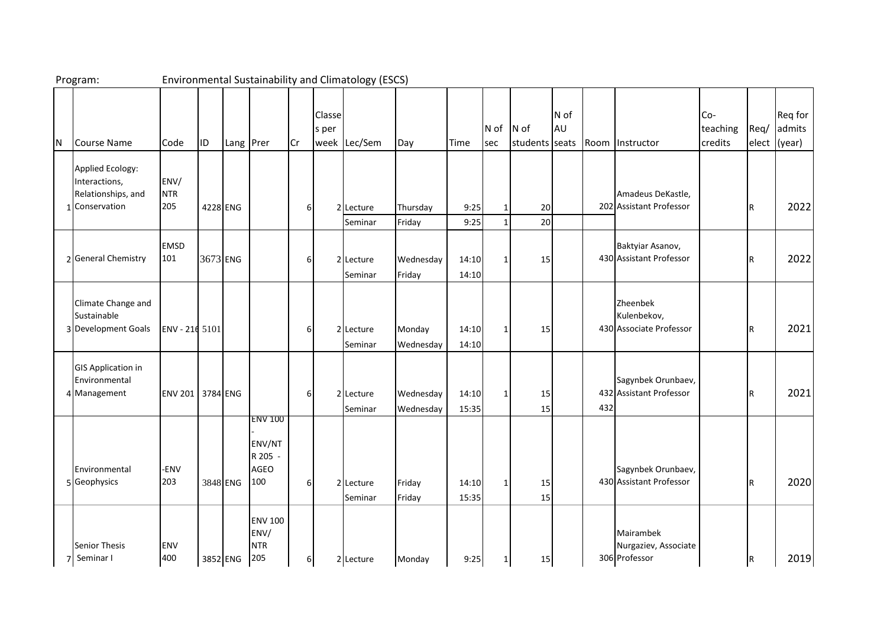| Program: |                                                                           |                    |          |          |                                                    |          |                 | <b>Environmental Sustainability and Climatology (ESCS)</b> |                        |                |                   |                          |            |     |                                                    |                            |      |                                   |
|----------|---------------------------------------------------------------------------|--------------------|----------|----------|----------------------------------------------------|----------|-----------------|------------------------------------------------------------|------------------------|----------------|-------------------|--------------------------|------------|-----|----------------------------------------------------|----------------------------|------|-----------------------------------|
| ΙN       | Course Name                                                               | Code               | IID      |          | Lang Prer                                          | Cr       | Classe<br>s per | week Lec/Sem                                               | Day                    | Time           | N of<br>sec       | $N$ of<br>students seats | N of<br>AU |     | Room Instructor                                    | Co-<br>teaching<br>credits | Req/ | Req for<br>admits<br>elect (year) |
|          | Applied Ecology:<br>Interactions,<br>Relationships, and<br>1 Conservation | ENV/<br>NTR<br>205 |          | 4228 ENG |                                                    | 6        | $\overline{2}$  | Lecture<br>Seminar                                         | Thursday<br>Friday     | 9:25<br>9:25   | 1<br>$\mathbf{1}$ | 20<br>20                 |            |     | Amadeus DeKastle,<br>202 Assistant Professor       |                            | IR.  | 2022                              |
|          | 2 General Chemistry                                                       | <b>EMSD</b><br>101 | 3673 ENG |          |                                                    | 6        |                 | 2 Lecture<br>Seminar                                       | Wednesday<br>Friday    | 14:10<br>14:10 | 1                 | 15                       |            |     | Baktyiar Asanov,<br>430 Assistant Professor        |                            | IR.  | 2022                              |
|          | Climate Change and<br>Sustainable<br>3 Development Goals                  | ENV - 216 5101     |          |          |                                                    | 6        |                 | 2 Lecture<br>Seminar                                       | Monday<br>Wednesday    | 14:10<br>14:10 | $\mathbf{1}$      | 15                       |            |     | Zheenbek<br>Kulenbekov,<br>430 Associate Professor |                            | IR.  | 2021                              |
|          | <b>GIS Application in</b><br>Environmental<br>4 Management                | ENV 201 3784 ENG   |          |          |                                                    | 6        |                 | 2 Lecture<br>Seminar                                       | Wednesday<br>Wednesday | 14:10<br>15:35 | $\mathbf{1}$      | 15<br>15                 |            | 432 | Sagynbek Orunbaev,<br>432 Assistant Professor      |                            | IR.  | 2021                              |
|          | Environmental<br>5 Geophysics                                             | -ENV<br>203        |          | 3848 ENG | <b>ENV 100</b><br>ENV/NT<br>R 205 -<br>AGEO<br>100 | 6        |                 | 2 Lecture<br>Seminar                                       | Friday<br>Friday       | 14:10<br>15:35 | $1\vert$          | 15<br>15                 |            |     | Sagynbek Orunbaev,<br>430 Assistant Professor      |                            | R    | 2020                              |
|          | <b>Senior Thesis</b><br>7 Seminar I                                       | <b>ENV</b><br>400  |          | 3852 ENG | <b>ENV 100</b><br>ENV/<br><b>NTR</b><br>205        | $6 \mid$ |                 | 2 Lecture                                                  | Monday                 | 9:25           | 1                 | 15                       |            |     | Mairambek<br>Nurgaziev, Associate<br>306 Professor |                            | IR.  | 2019                              |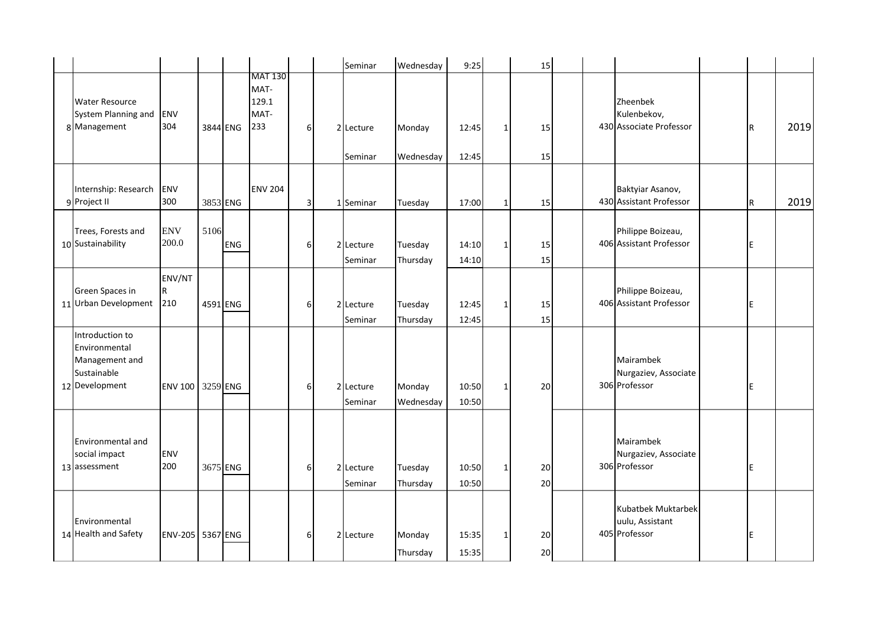|                                                                                     |                      |          |            |                                                |          | Seminar              | Wednesday           | 9:25           |              | 15       |                                                        |     |      |
|-------------------------------------------------------------------------------------|----------------------|----------|------------|------------------------------------------------|----------|----------------------|---------------------|----------------|--------------|----------|--------------------------------------------------------|-----|------|
| <b>Water Resource</b><br>System Planning and<br>8 Management                        | ENV<br>304           | 3844 ENG |            | <b>MAT 130</b><br>MAT-<br>129.1<br>MAT-<br>233 | $6 \mid$ | 2 Lecture<br>Seminar | Monday<br>Wednesday | 12:45<br>12:45 | $\mathbf{1}$ | 15<br>15 | Zheenbek<br>Kulenbekov,<br>430 Associate Professor     | IR. | 2019 |
| Internship: Research<br>9 Project II                                                | ENV<br>300           | 3853 ENG |            | <b>ENV 204</b>                                 | 3        | 1 Seminar            | Tuesday             | 17:00          | 1            | 15       | Baktyiar Asanov,<br>430 Assistant Professor            | R   | 2019 |
| Trees, Forests and<br>10 Sustainability                                             | <b>ENV</b><br>200.0  | 5106     | <b>ENG</b> |                                                | 6        | 2 Lecture<br>Seminar | Tuesday<br>Thursday | 14:10<br>14:10 | $\mathbf{1}$ | 15<br>15 | Philippe Boizeau,<br>406 Assistant Professor           | E   |      |
| Green Spaces in<br>11 Urban Development                                             | ENV/NT<br>IR.<br>210 | 4591 ENG |            |                                                | 6        | 2 Lecture<br>Seminar | Tuesday<br>Thursday | 12:45<br>12:45 | $1\vert$     | 15<br>15 | Philippe Boizeau,<br>406 Assistant Professor           | IE. |      |
| Introduction to<br>Environmental<br>Management and<br>Sustainable<br>12 Development | ENV 100 3259 ENG     |          |            |                                                | 6        | 2 Lecture<br>Seminar | Monday<br>Wednesday | 10:50<br>10:50 | $1\vert$     | 20       | Mairambek<br>Nurgaziev, Associate<br>306 Professor     | E   |      |
| Environmental and<br>social impact<br>13 assessment                                 | ENV<br>200           | 3675 ENG |            |                                                | $6 \mid$ | 2 Lecture<br>Seminar | Tuesday<br>Thursday | 10:50<br>10:50 | 1            | 20<br>20 | Mairambek<br>Nurgaziev, Associate<br>306 Professor     | E   |      |
| Environmental<br>14 Health and Safety                                               | ENV-205 5367 ENG     |          |            |                                                | 6        | 2 Lecture            | Monday<br>Thursday  | 15:35<br>15:35 | $1\vert$     | 20<br>20 | Kubatbek Muktarbek<br>uulu, Assistant<br>405 Professor | E   |      |